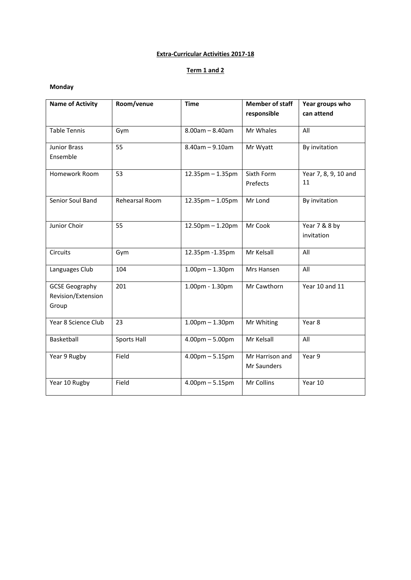## **Extra-Curricular Activities 2017-18**

## **Term 1 and 2**

### **Monday**

| <b>Name of Activity</b>                              | Room/venue         | <b>Time</b>           | <b>Member of staff</b>         | Year groups who             |
|------------------------------------------------------|--------------------|-----------------------|--------------------------------|-----------------------------|
|                                                      |                    |                       | responsible                    | can attend                  |
| <b>Table Tennis</b>                                  | Gym                | $8.00$ am - $8.40$ am | Mr Whales                      | All                         |
| <b>Junior Brass</b>                                  | 55                 | $8.40$ am $- 9.10$ am | Mr Wyatt                       | By invitation               |
| Ensemble                                             |                    |                       |                                |                             |
| Homework Room                                        | 53                 | 12.35pm - 1.35pm      | Sixth Form<br>Prefects         | Year 7, 8, 9, 10 and<br>11  |
| Senior Soul Band                                     | Rehearsal Room     | 12.35pm - 1.05pm      | Mr Lond                        | By invitation               |
| Junior Choir                                         | 55                 | 12.50pm - 1.20pm      | Mr Cook                        | Year 7 & 8 by<br>invitation |
| <b>Circuits</b>                                      | Gym                | 12.35pm - 1.35pm      | Mr Kelsall                     | All                         |
| Languages Club                                       | 104                | $1.00pm - 1.30pm$     | Mrs Hansen                     | All                         |
| <b>GCSE Geography</b><br>Revision/Extension<br>Group | 201                | 1.00pm - 1.30pm       | Mr Cawthorn                    | Year 10 and 11              |
| Year 8 Science Club                                  | 23                 | $1.00pm - 1.30pm$     | Mr Whiting                     | Year 8                      |
| Basketball                                           | <b>Sports Hall</b> | $4.00pm - 5.00pm$     | Mr Kelsall                     | All                         |
| Year 9 Rugby                                         | Field              | $4.00pm - 5.15pm$     | Mr Harrison and<br>Mr Saunders | Year 9                      |
| Year 10 Rugby                                        | Field              | $4.00$ pm $- 5.15$ pm | Mr Collins                     | Year 10                     |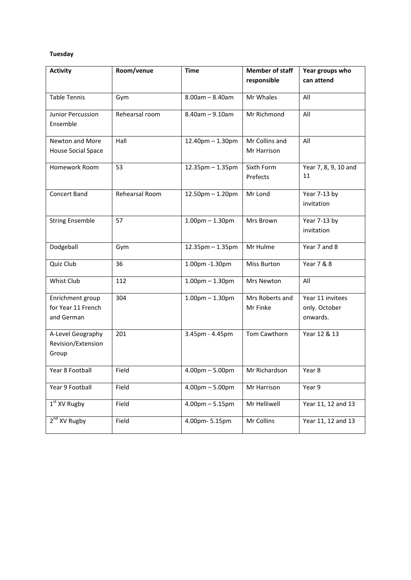## **Tuesday**

| <b>Activity</b>                                      | Room/venue     | <b>Time</b>            | <b>Member of staff</b>        | Year groups who                               |
|------------------------------------------------------|----------------|------------------------|-------------------------------|-----------------------------------------------|
|                                                      |                |                        | responsible                   | can attend                                    |
| <b>Table Tennis</b>                                  | Gym            | $8.00am - 8.40am$      | Mr Whales                     | All                                           |
| Junior Percussion<br>Ensemble                        | Rehearsal room | $8.40$ am $- 9.10$ am  | Mr Richmond                   | All                                           |
| Newton and More<br>House Social Space                | Hall           | $12.40$ pm $- 1.30$ pm | Mr Collins and<br>Mr Harrison | All                                           |
| Homework Room                                        | 53             | $12.35$ pm $- 1.35$ pm | Sixth Form<br>Prefects        | Year 7, 8, 9, 10 and<br>11                    |
| Concert Band                                         | Rehearsal Room | $12.50$ pm $- 1.20$ pm | Mr Lond                       | Year 7-13 by<br>invitation                    |
| <b>String Ensemble</b>                               | 57             | $1.00pm - 1.30pm$      | Mrs Brown                     | Year 7-13 by<br>invitation                    |
| Dodgeball                                            | Gym            | $12.35$ pm $- 1.35$ pm | Mr Hulme                      | Year 7 and 8                                  |
| Quiz Club                                            | 36             | 1.00pm -1.30pm         | Miss Burton                   | Year 7 & 8                                    |
| Whist Club                                           | 112            | $1.00$ pm $- 1.30$ pm  | Mrs Newton                    | All                                           |
| Enrichment group<br>for Year 11 French<br>and German | 304            | $1.00$ pm $- 1.30$ pm  | Mrs Roberts and<br>Mr Finke   | Year 11 invitees<br>only. October<br>onwards. |
| A-Level Geography<br>Revision/Extension<br>Group     | 201            | 3.45pm - 4.45pm        | Tom Cawthorn                  | Year 12 & 13                                  |
| Year 8 Football                                      | Field          | $4.00pm - 5.00pm$      | Mr Richardson                 | Year 8                                        |
| Year 9 Football                                      | Field          | $4.00pm - 5.00pm$      | Mr Harrison                   | Year 9                                        |
| $1st$ XV Rugby                                       | Field          | $4.00$ pm $- 5.15$ pm  | Mr Helliwell                  | Year 11, 12 and 13                            |
| 2 <sup>nd</sup> XV Rugby                             | Field          | 4.00pm-5.15pm          | Mr Collins                    | Year 11, 12 and 13                            |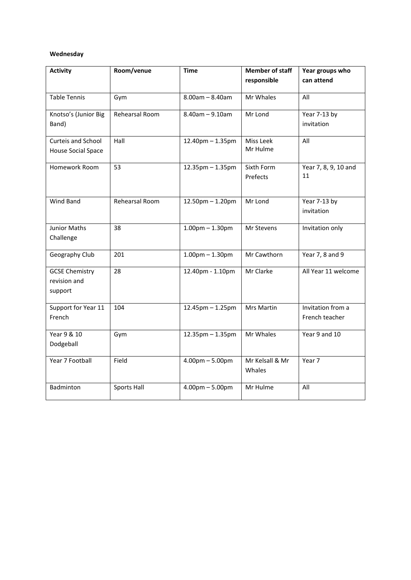### **Wednesday**

| <b>Activity</b>                                  | Room/venue     | <b>Time</b>                       | <b>Member of staff</b>    | Year groups who                     |
|--------------------------------------------------|----------------|-----------------------------------|---------------------------|-------------------------------------|
|                                                  |                |                                   | responsible               | can attend                          |
| <b>Table Tennis</b>                              | Gym            | $8.00am - 8.40am$                 | Mr Whales                 | All                                 |
| Knotso's (Junior Big<br>Band)                    | Rehearsal Room | $8.40$ am $- 9.10$ am             | Mr Lond                   | Year 7-13 by<br>invitation          |
| Curteis and School<br>House Social Space         | Hall           | $12.40$ pm $- 1.35$ pm            | Miss Leek<br>Mr Hulme     | All                                 |
| Homework Room                                    | 53             | 12.35pm - 1.35pm                  | Sixth Form<br>Prefects    | Year 7, 8, 9, 10 and<br>11          |
| Wind Band                                        | Rehearsal Room | $12.50$ pm $- 1.20$ pm            | Mr Lond                   | Year 7-13 by<br>invitation          |
| Junior Maths<br>Challenge                        | 38             | $1.00$ pm $- 1.30$ pm             | Mr Stevens                | Invitation only                     |
| Geography Club                                   | 201            | $1.00pm - 1.30pm$                 | Mr Cawthorn               | Year 7, 8 and 9                     |
| <b>GCSE Chemistry</b><br>revision and<br>support | 28             | 12.40pm - 1.10pm                  | Mr Clarke                 | All Year 11 welcome                 |
| Support for Year 11<br>French                    | 104            | $12.45$ pm $- 1.25$ pm            | Mrs Martin                | Invitation from a<br>French teacher |
| Year 9 & 10<br>Dodgeball                         | Gym            | 12.35pm - 1.35pm                  | Mr Whales                 | Year 9 and 10                       |
| Year 7 Football                                  | Field          | $4.00 \text{pm} - 5.00 \text{pm}$ | Mr Kelsall & Mr<br>Whales | Year 7                              |
| Badminton                                        | Sports Hall    | $4.00pm - 5.00pm$                 | Mr Hulme                  | All                                 |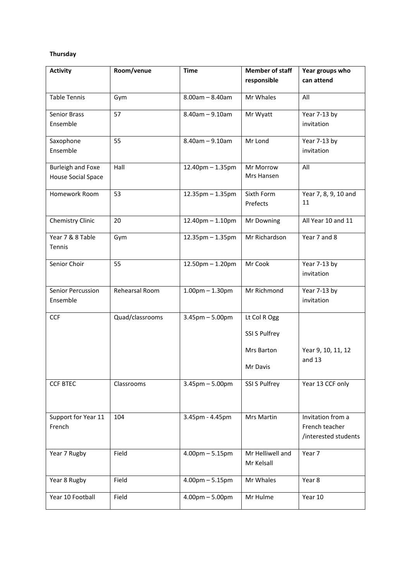### **Thursday**

| <b>Activity</b>          | Room/venue      | <b>Time</b>            | <b>Member of staff</b><br>responsible | Year groups who<br>can attend          |
|--------------------------|-----------------|------------------------|---------------------------------------|----------------------------------------|
|                          |                 |                        |                                       |                                        |
| <b>Table Tennis</b>      | Gym             | $8.00am - 8.40am$      | Mr Whales                             | All                                    |
| <b>Senior Brass</b>      | 57              | $8.40$ am $- 9.10$ am  | Mr Wyatt                              | Year 7-13 by                           |
| Ensemble                 |                 |                        |                                       | invitation                             |
| Saxophone                | 55              | $8.40$ am $- 9.10$ am  | Mr Lond                               | Year 7-13 by                           |
| Ensemble                 |                 |                        |                                       | invitation                             |
| <b>Burleigh and Foxe</b> | Hall            | 12.40pm - 1.35pm       | Mr Morrow                             | All                                    |
| House Social Space       |                 |                        | Mrs Hansen                            |                                        |
| Homework Room            | 53              | $12.35$ pm $- 1.35$ pm | Sixth Form                            | Year 7, 8, 9, 10 and<br>11             |
|                          |                 |                        | Prefects                              |                                        |
| Chemistry Clinic         | 20              | 12.40pm - 1.10pm       | Mr Downing                            | All Year 10 and 11                     |
| Year 7 & 8 Table         | Gym             | $12.35$ pm $- 1.35$ pm | Mr Richardson                         | Year 7 and 8                           |
| Tennis                   |                 |                        |                                       |                                        |
| Senior Choir             | 55              | $12.50$ pm $- 1.20$ pm | Mr Cook                               | Year 7-13 by                           |
|                          |                 |                        |                                       | invitation                             |
| Senior Percussion        | Rehearsal Room  | $1.00$ pm $- 1.30$ pm  | Mr Richmond                           | Year 7-13 by                           |
| Ensemble                 |                 |                        |                                       | invitation                             |
| <b>CCF</b>               | Quad/classrooms | $3.45$ pm $- 5.00$ pm  | Lt Col R Ogg                          |                                        |
|                          |                 |                        | SSI S Pulfrey                         |                                        |
|                          |                 |                        | Mrs Barton                            | Year 9, 10, 11, 12                     |
|                          |                 |                        | Mr Davis                              | and 13                                 |
| <b>CCF BTEC</b>          | Classrooms      | $3.45$ pm $- 5.00$ pm  | SSI S Pulfrey                         | Year 13 CCF only                       |
|                          |                 |                        |                                       |                                        |
|                          |                 |                        |                                       |                                        |
| Support for Year 11      | 104             | 3.45pm - 4.45pm        | Mrs Martin                            | Invitation from a                      |
| French                   |                 |                        |                                       | French teacher<br>/interested students |
|                          |                 |                        |                                       |                                        |
| Year 7 Rugby             | Field           | $4.00$ pm $- 5.15$ pm  | Mr Helliwell and<br>Mr Kelsall        | Year 7                                 |
|                          |                 |                        |                                       |                                        |
| Year 8 Rugby             | Field           | $4.00$ pm $- 5.15$ pm  | Mr Whales                             | Year 8                                 |
| Year 10 Football         | Field           | $4.00pm - 5.00pm$      | Mr Hulme                              | Year 10                                |